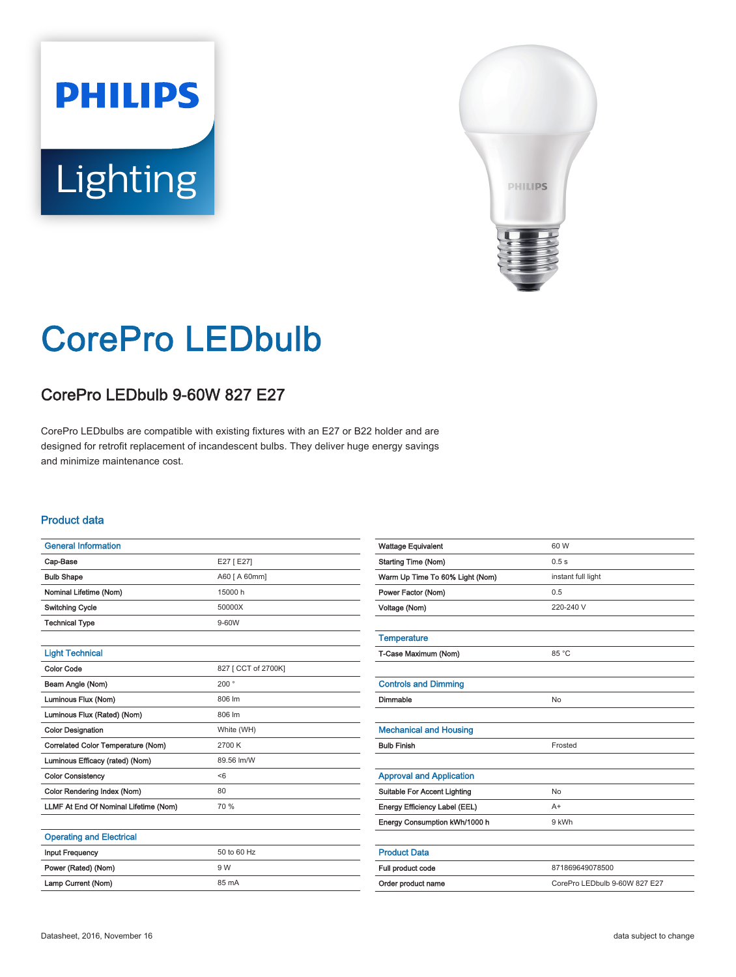# **PHILIPS Lighting**



## CorePro LEDbulb

### CorePro LEDbulb 9-60W 827 E27

CorePro LEDbulbs are compatible with existing fixtures with an E27 or B22 holder and are designed for retrofit replacement of incandescent bulbs. They deliver huge energy savings and minimize maintenance cost.

#### Product data

| <b>General Information</b>            |                     |
|---------------------------------------|---------------------|
| Cap-Base                              | E27 [E27]           |
| <b>Bulb Shape</b>                     | A60 [ A 60mm]       |
| Nominal Lifetime (Nom)                | 15000 h             |
| <b>Switching Cycle</b>                | 50000X              |
| <b>Technical Type</b>                 | 9-60W               |
|                                       |                     |
| <b>Light Technical</b>                |                     |
| <b>Color Code</b>                     | 827 [ CCT of 2700K] |
| Beam Angle (Nom)                      | 200 $^{\circ}$      |
| Luminous Flux (Nom)                   | 806 lm              |
| Luminous Flux (Rated) (Nom)           | 806 lm              |
| <b>Color Designation</b>              | White (WH)          |
| Correlated Color Temperature (Nom)    | 2700 K              |
| Luminous Efficacy (rated) (Nom)       | 89.56 lm/W          |
| <b>Color Consistency</b>              | < 6                 |
| Color Rendering Index (Nom)           | 80                  |
| LLMF At End Of Nominal Lifetime (Nom) | 70 %                |
|                                       |                     |
| <b>Operating and Electrical</b>       |                     |
| <b>Input Frequency</b>                | 50 to 60 Hz         |
| Power (Rated) (Nom)                   | 9 W                 |
| Lamp Current (Nom)                    | 85 mA               |

| <b>Wattage Equivalent</b>           | 60 W                          |
|-------------------------------------|-------------------------------|
| <b>Starting Time (Nom)</b>          | 0.5s                          |
| Warm Up Time To 60% Light (Nom)     | instant full light            |
| Power Factor (Nom)                  | 0.5                           |
| Voltage (Nom)                       | 220-240 V                     |
|                                     |                               |
| <b>Temperature</b>                  |                               |
| T-Case Maximum (Nom)                | 85 °C                         |
|                                     |                               |
| <b>Controls and Dimming</b>         |                               |
| Dimmable                            | No                            |
|                                     |                               |
| <b>Mechanical and Housing</b>       |                               |
| <b>Bulb Finish</b>                  | Frosted                       |
|                                     |                               |
| <b>Approval and Application</b>     |                               |
| <b>Suitable For Accent Lighting</b> | No                            |
| Energy Efficiency Label (EEL)       | $A+$                          |
| Energy Consumption kWh/1000 h       | 9 kWh                         |
|                                     |                               |
| <b>Product Data</b>                 |                               |
| Full product code                   | 871869649078500               |
| Order product name                  | CorePro LEDbulb 9-60W 827 E27 |
|                                     |                               |